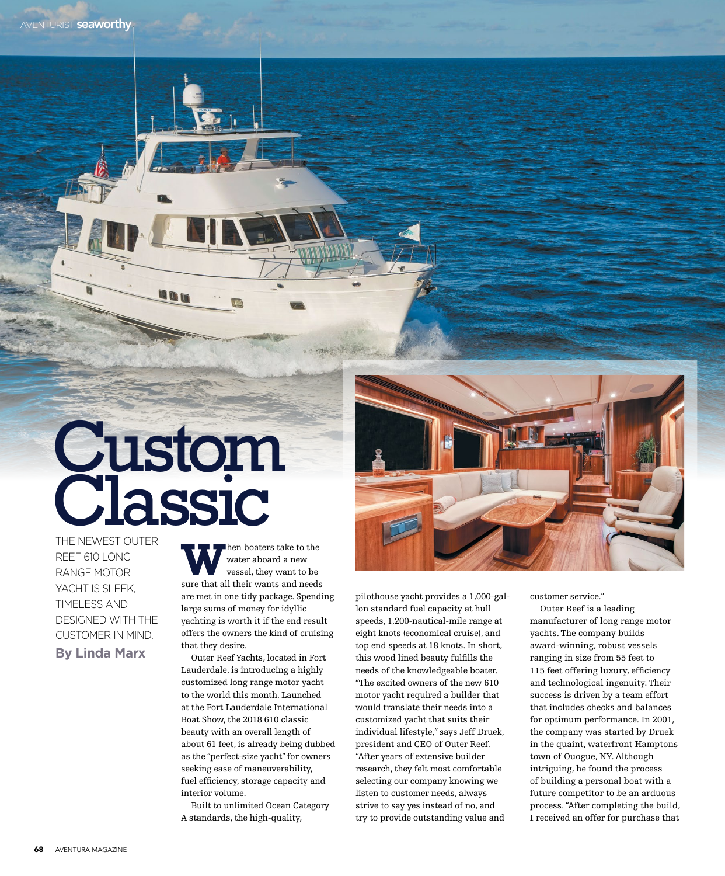## Custom Classic

THE NEWEST OUTER REEF 610 LONG RANGE MOTOR YACHT IS SLEEK, TIMELESS AND DESIGNED WITH THE CUSTOMER IN MIND. **By Linda Marx**

**W** hen boaters take to the water aboard a new vessel, they want to be water aboard a new sure that all their wants and needs are met in one tidy package. Spending large sums of money for idyllic yachting is worth it if the end result offers the owners the kind of cruising that they desire.

Outer Reef Yachts, located in Fort Lauderdale, is introducing a highly customized long range motor yacht to the world this month. Launched at the Fort Lauderdale International Boat Show, the 2018 610 classic beauty with an overall length of about 61 feet, is already being dubbed as the "perfect-size yacht" for owners seeking ease of maneuverability, fuel efficiency, storage capacity and interior volume.

Built to unlimited Ocean Category A standards, the high-quality,



pilothouse yacht provides a 1,000-gallon standard fuel capacity at hull speeds, 1,200-nautical-mile range at eight knots (economical cruise), and top end speeds at 18 knots. In short, this wood lined beauty fulfills the needs of the knowledgeable boater. "The excited owners of the new 610 motor yacht required a builder that would translate their needs into a customized yacht that suits their individual lifestyle," says Jeff Druek, president and CEO of Outer Reef. "After years of extensive builder research, they felt most comfortable selecting our company knowing we listen to customer needs, always strive to say yes instead of no, and try to provide outstanding value and

customer service."

Outer Reef is a leading manufacturer of long range motor yachts. The company builds award-winning, robust vessels ranging in size from 55 feet to 115 feet offering luxury, efficiency and technological ingenuity. Their success is driven by a team effort that includes checks and balances for optimum performance. In 2001, the company was started by Druek in the quaint, waterfront Hamptons town of Quogue, NY. Although intriguing, he found the process of building a personal boat with a future competitor to be an arduous process. "After completing the build, I received an offer for purchase that